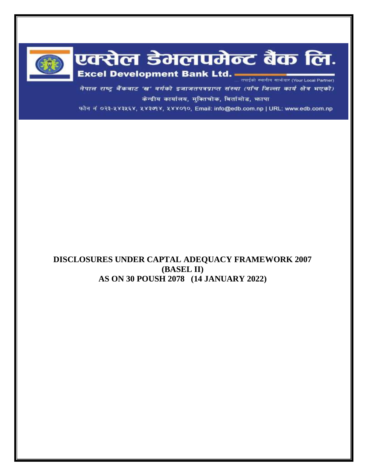

# एक्सेल डेमलपमेन्ट बैंक लि. Excel Development Bank Ltd.

नेपाल राष्ट्र बैंकबाट 'ख' वर्गको इजाजतपत्रप्राप्त संस्था (पाँच जिल्ला कार्य क्षेत्र भएको) केन्द्रीय कार्यालय, मुक्तिचोक, बिर्तामोड, फापा

फोन नं ०२३-५४३५६४, ५४३७१४, ५४४०१०, Email: info@edb.com.np | URL: www.edb.com.np

# **DISCLOSURES UNDER CAPTAL ADEQUACY FRAMEWORK 2007 (BASEL II) AS ON 30 POUSH 2078 (14 JANUARY 2022)**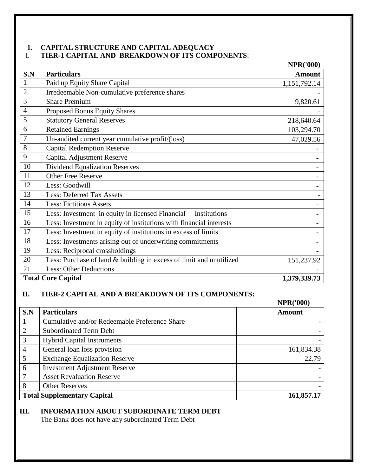## **1. CAPITAL STRUCTURE AND CAPITAL ADEQUACY** I. **TIER-1 CAPITAL AND BREAKDOWN OF ITS COMPONENTS**:

|                |                                                                     | <b>NPR('000)</b> |
|----------------|---------------------------------------------------------------------|------------------|
| S.N            | <b>Particulars</b>                                                  | <b>Amount</b>    |
| 1              | Paid up Equity Share Capital                                        | 1,151,792.14     |
| $\overline{2}$ | Irredeemable Non-cumulative preference shares                       |                  |
| 3              | <b>Share Premium</b>                                                | 9,820.61         |
| 4              | Proposed Bonus Equity Shares                                        |                  |
| 5              | <b>Statutory General Reserves</b>                                   | 218,640.64       |
| 6              | <b>Retained Earnings</b>                                            | 103,294.70       |
| $\overline{7}$ | Un-audited current year cumulative profit/(loss)                    | 47,029.56        |
| 8              | <b>Capital Redemption Reserve</b>                                   |                  |
| 9              | <b>Capital Adjustment Reserve</b>                                   |                  |
| 10             | <b>Dividend Equalization Reserves</b>                               |                  |
| 11             | <b>Other Free Reserve</b>                                           |                  |
| 12             | Less: Goodwill                                                      |                  |
| 13             | <b>Less: Deferred Tax Assets</b>                                    |                  |
| 14             | <b>Less: Fictitious Assets</b>                                      |                  |
| 15             | Less: Investment in equity in licensed Financial<br>Institutions    |                  |
| 16             | Less: Investment in equity of institutions with financial interests |                  |
| 17             | Less: Investment in equity of institutions in excess of limits      |                  |
| 18             | Less: Investments arising out of underwriting commitments           |                  |
| 19             | Less: Reciprocal crossholdings                                      |                  |
| 20             | Less: Purchase of land & building in excess of limit and unutilized | 151,237.92       |
| 21             | <b>Less: Other Deductions</b>                                       |                  |
|                | <b>Total Core Capital</b>                                           | 1,379,339.73     |

## **II. TIER-2 CAPITAL AND A BREAKDOWN OF ITS COMPONENTS:**

|                |                                               | <b>NPR('000)</b> |
|----------------|-----------------------------------------------|------------------|
| S.N            | <b>Particulars</b>                            | <b>Amount</b>    |
|                | Cumulative and/or Redeemable Preference Share |                  |
|                | <b>Subordinated Term Debt</b>                 |                  |
| 3              | <b>Hybrid Capital Instruments</b>             |                  |
| $\overline{4}$ | General loan loss provision                   | 161,834.38       |
| 5              | <b>Exchange Equalization Reserve</b>          | 22.79            |
| 6              | <b>Investment Adjustment Reserve</b>          |                  |
|                | <b>Asset Revaluation Reserve</b>              |                  |
| 8              | <b>Other Reserves</b>                         |                  |
|                | <b>Total Supplementary Capital</b>            | 161,857.17       |

## **III. INFORMATION ABOUT SUBORDINATE TERM DEBT**

The Bank does not have any subordinated Term Debt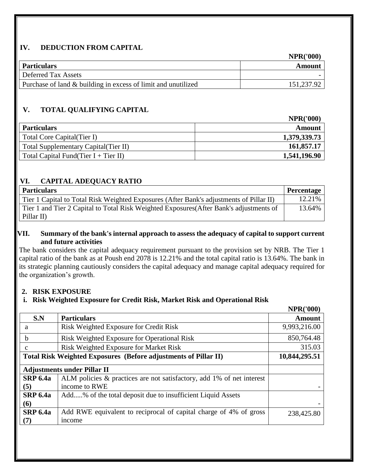# **IV. DEDUCTION FROM CAPITAL**

|                                                               | <b>NPR('000)</b> |
|---------------------------------------------------------------|------------------|
| Particulars                                                   | Amount           |
| Deferred Tax Assets                                           |                  |
| Purchase of land & building in excess of limit and unutilized | 151,237.92       |

# **V. TOTAL QUALIFYING CAPITAL**

|                                         | <b>NPR('000)</b> |
|-----------------------------------------|------------------|
| <b>Particulars</b>                      | <b>Amount</b>    |
| Total Core Capital (Tier I)             | 1,379,339.73     |
| Total Supplementary Capital (Tier II)   | 161,857.17       |
| Total Capital Fund(Tier $I + Tier II$ ) | 1,541,196.90     |

# **VI. CAPITAL ADEQUACY RATIO**

| <b>Particulars</b>                                                                      | Percentage |
|-----------------------------------------------------------------------------------------|------------|
| Tier 1 Capital to Total Risk Weighted Exposures (After Bank's adjustments of Pillar II) | 12.21%     |
| Tier 1 and Tier 2 Capital to Total Risk Weighted Exposures (After Bank's adjustments of | 13.64%     |
| Pillar II)                                                                              |            |

## **VII. Summary of the bank's internal approach to assess the adequacy of capital to support current and future activities**

The bank considers the capital adequacy requirement pursuant to the provision set by NRB. The Tier 1 capital ratio of the bank as at Poush end 2078 is 12.21% and the total capital ratio is 13.64%. The bank in its strategic planning cautiously considers the capital adequacy and manage capital adequacy required for the organization's growth.

**NPR('000)**

# **2. RISK EXPOSURE**

# **i. Risk Weighted Exposure for Credit Risk, Market Risk and Operational Risk**

|                                                                 |                                                                       | <b>NPR('000)</b> |
|-----------------------------------------------------------------|-----------------------------------------------------------------------|------------------|
| S.N                                                             | <b>Particulars</b>                                                    | <b>Amount</b>    |
| a                                                               | Risk Weighted Exposure for Credit Risk                                | 9,993,216.00     |
| h                                                               | Risk Weighted Exposure for Operational Risk                           | 850,764.48       |
| $\mathbf{c}$                                                    | Risk Weighted Exposure for Market Risk                                | 315.03           |
| Total Risk Weighted Exposures (Before adjustments of Pillar II) | 10,844,295.51                                                         |                  |
|                                                                 | <b>Adjustments under Pillar II</b>                                    |                  |
| <b>SRP 6.4a</b>                                                 | ALM policies & practices are not satisfactory, add 1% of net interest |                  |
| (5)                                                             | income to RWE                                                         |                  |
| <b>SRP 6.4a</b>                                                 | Add% of the total deposit due to insufficient Liquid Assets           |                  |
| (6)                                                             |                                                                       |                  |
| <b>SRP 6.4a</b>                                                 | Add RWE equivalent to reciprocal of capital charge of 4% of gross     | 238,425.80       |
| (7)                                                             | income                                                                |                  |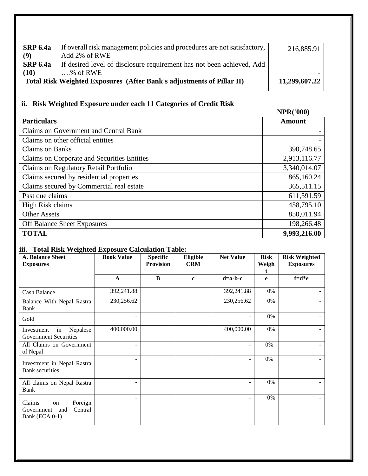| SRP 6.4a<br>(9) | If overall risk management policies and procedures are not satisfactory,<br>Add 2% of RWE | 216,885.91    |
|-----------------|-------------------------------------------------------------------------------------------|---------------|
| SRP 6.4a        | If desired level of disclosure requirement has not been achieved, Add                     |               |
| (10)            | $\dots$ % of RWE                                                                          |               |
|                 | Total Risk Weighted Exposures (After Bank's adjustments of Pillar II)                     | 11,299,607.22 |
|                 |                                                                                           |               |

#### **ii. Risk Weighted Exposure under each 11 Categories of Credit Risk**

# **NPR('000) Particulars Amount** Claims on Government and Central Bank - Claims on other official entities Claims on Banks 390,748.65 Claims on Corporate and Securities Entities 2,913,116.77 Claims on Regulatory Retail Portfolio 3,340,014.07 Claims secured by residential properties 865,160.24 Claims secured by Commercial real estate 365,511.15 Past due claims 611,591.59 High Risk claims 458,795.10 Other Assets 850,011.94 Off Balance Sheet Exposures 198,266.48 **TOTAL 9,993,216.00**

## **iii. Total Risk Weighted Exposure Calculation Table:**

| o.<br><b>A. Balance Sheet</b><br><b>Exposures</b>                         | <b>Book Value</b> | <b>Specific</b><br><b>Provision</b> | Eligible<br><b>CRM</b> | <b>Net Value</b>  | <b>Risk</b><br>Weigh | <b>Risk Weighted</b><br><b>Exposures</b> |
|---------------------------------------------------------------------------|-------------------|-------------------------------------|------------------------|-------------------|----------------------|------------------------------------------|
|                                                                           |                   |                                     |                        |                   |                      |                                          |
|                                                                           | $\mathbf{A}$      | B                                   | $\mathbf{c}$           | $d=a-b-c$         | e                    | $f = d * e$                              |
| Cash Balance                                                              | 392,241.88        |                                     |                        | 392,241.88        | 0%                   |                                          |
| Balance With Nepal Rastra<br>Bank                                         | 230,256.62        |                                     |                        | 230,256.62        | 0%                   |                                          |
| Gold                                                                      |                   |                                     |                        |                   | 0%                   |                                          |
| Nepalese<br>Investment<br>in<br><b>Government Securities</b>              | 400,000.00        |                                     |                        | 400,000.00        | 0%                   |                                          |
| All Claims on Government<br>of Nepal                                      |                   |                                     |                        | $\blacksquare$    | 0%                   |                                          |
| Investment in Nepal Rastra<br><b>Bank</b> securities                      |                   |                                     |                        | $\qquad \qquad -$ | $0\%$                |                                          |
| All claims on Nepal Rastra<br>Bank                                        |                   |                                     |                        |                   | 0%                   |                                          |
| Claims<br>Foreign<br>on<br>Central<br>Government<br>and<br>Bank (ECA 0-1) |                   |                                     |                        | ٠                 | 0%                   |                                          |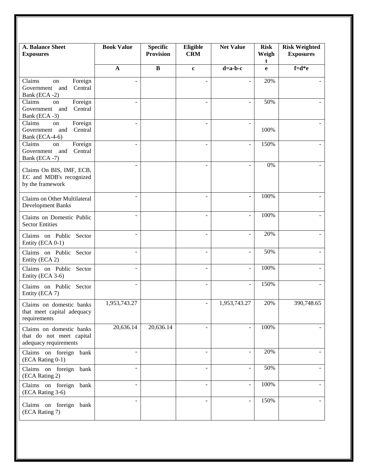| <b>A. Balance Sheet</b><br><b>Exposures</b>                                               | <b>Book Value</b>        | <b>Specific</b><br><b>Provision</b> | Eligible<br><b>CRM</b>   | <b>Net Value</b>         | <b>Risk</b><br>Weigh<br>t | <b>Risk Weighted</b><br><b>Exposures</b> |
|-------------------------------------------------------------------------------------------|--------------------------|-------------------------------------|--------------------------|--------------------------|---------------------------|------------------------------------------|
|                                                                                           | $\mathbf A$              | $\, {\bf B}$                        | $\mathbf c$              | $d=a-b-c$                | e                         | $f=d*e$                                  |
| $\overline{\text{Clains}}$<br>Foreign<br>on<br>Government and<br>Central<br>Bank (ECA -2) |                          |                                     |                          | ÷,                       | 20%                       |                                          |
| Claims<br>Foreign<br>on<br>Government and<br>Central<br>Bank (ECA -3)                     |                          |                                     |                          | $\overline{\phantom{a}}$ | 50%                       |                                          |
| Claims<br>Foreign<br>on<br>Government and<br>Central<br>Bank (ECA-4-6)                    | $\overline{\phantom{a}}$ |                                     | ÷                        | $\overline{\phantom{a}}$ | 100%                      |                                          |
| Claims<br>Foreign<br>on<br>Government and<br>Central<br>Bank (ECA -7)                     | $\overline{\phantom{0}}$ |                                     |                          | $\overline{\phantom{a}}$ | 150%                      |                                          |
| Claims On BIS, IMF, ECB,<br>EC and MDB's recognized<br>by the framework                   | ÷,                       |                                     |                          | $\blacksquare$           | 0%                        |                                          |
| Claims on Other Multilateral<br><b>Development Banks</b>                                  |                          |                                     |                          | $\blacksquare$           | 100%                      |                                          |
| Claims on Domestic Public<br><b>Sector Entities</b>                                       | $\overline{a}$           |                                     | $\overline{\phantom{0}}$ | $\overline{\phantom{a}}$ | 100%                      |                                          |
| Claims on Public Sector<br>Entity (ECA 0-1)                                               | $\overline{a}$           |                                     | $\overline{\phantom{0}}$ | $\overline{\phantom{a}}$ | 20%                       |                                          |
| Claims on Public Sector<br>Entity (ECA 2)                                                 | ÷,                       |                                     |                          | $\overline{\phantom{a}}$ | 50%                       |                                          |
| Claims on Public Sector<br>Entity (ECA 3-6)                                               |                          |                                     |                          | $\blacksquare$           | 100%                      |                                          |
| Claims on Public Sector<br>Entity (ECA 7)                                                 | $\overline{a}$           |                                     |                          | $\blacksquare$           | 150%                      |                                          |
| Claims on domestic banks<br>that meet capital adequacy<br>requirements                    | 1,953,743.27             |                                     | $\overline{\phantom{a}}$ | 1,953,743.27             | 20%                       | 390,748.65                               |
| Claims on domestic banks<br>that do not meet capital<br>adequacy requirements             | 20,636.14                | 20,636.14                           |                          | $\overline{\phantom{0}}$ | 100%                      |                                          |
| Claims on foreign<br>bank<br>(ECA Rating 0-1)                                             |                          |                                     |                          | $\blacksquare$           | 20%                       |                                          |
| Claims on foreign bank<br>(ECA Rating 2)                                                  | ÷.                       |                                     | ٠                        | $\overline{\phantom{a}}$ | 50%                       | $\overline{\phantom{a}}$                 |
| Claims on foreign<br>bank<br>(ECA Rating 3-6)                                             | ÷                        |                                     |                          | $\blacksquare$           | 100%                      |                                          |
| Claims on foreign<br>bank<br>(ECA Rating 7)                                               |                          |                                     |                          | $\blacksquare$           | 150%                      |                                          |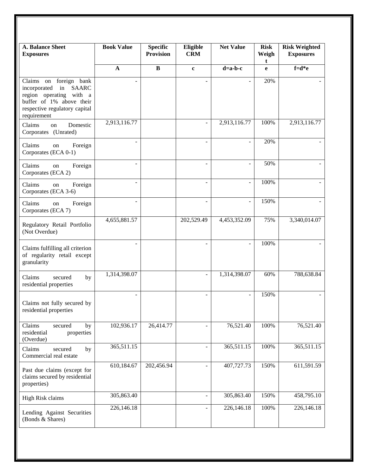| <b>A. Balance Sheet</b><br><b>Exposures</b>                                                                                                                         | <b>Book Value</b>        | <b>Specific</b><br><b>Provision</b> | Eligible<br><b>CRM</b>   | <b>Net Value</b>         | <b>Risk</b><br>Weigh<br>t | <b>Risk Weighted</b><br><b>Exposures</b> |
|---------------------------------------------------------------------------------------------------------------------------------------------------------------------|--------------------------|-------------------------------------|--------------------------|--------------------------|---------------------------|------------------------------------------|
|                                                                                                                                                                     | $\mathbf A$              | $\, {\bf B}$                        | $\mathbf c$              | $d=a-b-c$                | e                         | $f = d * e$                              |
| Claims on foreign bank<br>in<br><b>SAARC</b><br>incorporated<br>region operating with a<br>buffer of 1% above their<br>respective regulatory capital<br>requirement |                          |                                     |                          |                          | 20%                       |                                          |
| Domestic<br>Claims<br>on<br>Corporates (Unrated)                                                                                                                    | 2,913,116.77             |                                     |                          | 2,913,116.77             | 100%                      | 2,913,116.77                             |
| Claims<br>Foreign<br>on<br>Corporates (ECA 0-1)                                                                                                                     |                          |                                     |                          | $\overline{a}$           | 20%                       |                                          |
| Claims<br>Foreign<br>on<br>Corporates (ECA 2)                                                                                                                       |                          |                                     |                          | $\frac{1}{2}$            | 50%                       |                                          |
| Claims<br>Foreign<br>on<br>Corporates (ECA 3-6)                                                                                                                     |                          |                                     |                          | $\overline{\phantom{a}}$ | 100%                      |                                          |
| Claims<br>Foreign<br>on<br>Corporates (ECA 7)                                                                                                                       | $\overline{\phantom{a}}$ |                                     | $\overline{a}$           | $\overline{\phantom{a}}$ | 150%                      |                                          |
| Regulatory Retail Portfolio<br>(Not Overdue)                                                                                                                        | 4,655,881.57             |                                     | 202,529.49               | 4,453,352.09             | 75%                       | 3,340,014.07                             |
| Claims fulfilling all criterion<br>of regularity retail except<br>granularity                                                                                       |                          |                                     |                          | $\overline{a}$           | 100%                      |                                          |
| Claims<br>secured<br>by<br>residential properties                                                                                                                   | 1,314,398.07             |                                     | $\overline{a}$           | 1,314,398.07             | 60%                       | 788,638.84                               |
| Claims not fully secured by<br>residential properties                                                                                                               |                          |                                     |                          | $\overline{a}$           | 150%                      |                                          |
| Claims<br>secured<br>by<br>residential<br>properties<br>(Overdue)                                                                                                   | 102,936.17               | 26,414.77                           |                          | 76,521.40                | 100%                      | 76,521.40                                |
| Claims<br>by<br>secured<br>Commercial real estate                                                                                                                   | 365,511.15               |                                     | $\overline{\phantom{0}}$ | 365,511.15               | 100%                      | 365,511.15                               |
| Past due claims (except for<br>claims secured by residential<br>properties)                                                                                         | 610,184.67               | 202,456.94                          |                          | 407,727.73               | 150%                      | 611,591.59                               |
| High Risk claims                                                                                                                                                    | 305,863.40               |                                     |                          | 305,863.40               | 150%                      | 458,795.10                               |
| Lending Against Securities<br>(Bonds & Shares)                                                                                                                      | 226,146.18               |                                     |                          | 226,146.18               | 100%                      | 226,146.18                               |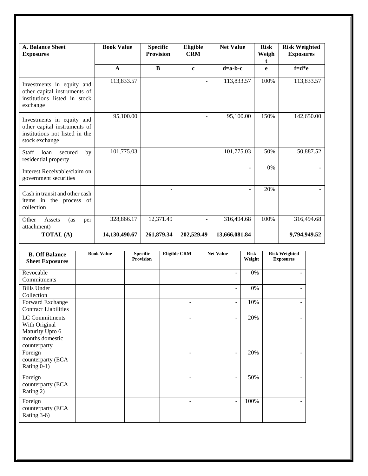| <b>A. Balance Sheet</b><br><b>Exposures</b>                                                                   | <b>Book Value</b> | <b>Specific</b><br><b>Provision</b> | Eligible<br><b>CRM</b> | <b>Net Value</b>         | <b>Risk</b><br>Weigh<br>t. | <b>Risk Weighted</b><br><b>Exposures</b> |
|---------------------------------------------------------------------------------------------------------------|-------------------|-------------------------------------|------------------------|--------------------------|----------------------------|------------------------------------------|
|                                                                                                               | $\mathbf{A}$      | B                                   | $\mathbf c$            | $d=a-b-c$                | e                          | $f = d*e$                                |
| Investments in equity and<br>other capital instruments of<br>institutions listed in stock<br>exchange         | 113,833.57        |                                     |                        | 113,833.57               | 100%                       | 113,833.57                               |
| Investments in equity and<br>other capital instruments of<br>institutions not listed in the<br>stock exchange | 95,100.00         |                                     |                        | 95,100.00                | 150%                       | 142,650.00                               |
| Staff<br>loan<br>secured<br>by<br>residential property                                                        | 101,775.03        |                                     |                        | 101,775.03               | 50%                        | 50,887.52                                |
| Interest Receivable/claim on<br>government securities                                                         |                   |                                     |                        | $\overline{a}$           | 0%                         |                                          |
| Cash in transit and other cash<br>items in the process of<br>collection                                       |                   |                                     |                        | $\overline{\phantom{a}}$ | 20%                        |                                          |
| Other<br>Assets<br>(as<br>per<br>attachment)                                                                  | 328,866.17        | 12,371.49                           |                        | 316,494.68               | 100%                       | 316,494.68                               |
| <b>TOTAL</b> (A)                                                                                              | 14,130,490.67     | 261,879.34                          | 202,529.49             | 13,666,081.84            |                            | 9,794,949.52                             |

| <b>B. Off Balance</b><br><b>Sheet Exposures</b>                                       | <b>Book Value</b> | <b>Specific</b><br><b>Provision</b> | <b>Eligible CRM</b> | <b>Net Value</b>         | <b>Risk</b><br>Weight | <b>Risk Weighted</b><br><b>Exposures</b> |
|---------------------------------------------------------------------------------------|-------------------|-------------------------------------|---------------------|--------------------------|-----------------------|------------------------------------------|
| Revocable<br>Commitments                                                              |                   |                                     |                     | $\overline{\phantom{a}}$ | 0%                    |                                          |
| <b>Bills Under</b><br>Collection                                                      |                   |                                     |                     | $\overline{\phantom{a}}$ | 0%                    |                                          |
| Forward Exchange<br><b>Contract Liabilities</b>                                       |                   |                                     | ۰                   | $\overline{\phantom{a}}$ | 10%                   |                                          |
| LC Commitments<br>With Original<br>Maturity Upto 6<br>months domestic<br>counterparty |                   |                                     | ۰                   | $\overline{\phantom{a}}$ | 20%                   |                                          |
| Foreign<br>counterparty (ECA<br>Rating 0-1)                                           |                   |                                     |                     | $\overline{\phantom{0}}$ | 20%                   |                                          |
| Foreign<br>counterparty (ECA<br>Rating 2)                                             |                   |                                     | ۰                   | $\overline{\phantom{a}}$ | 50%                   |                                          |
| Foreign<br>counterparty (ECA<br>Rating 3-6)                                           |                   |                                     | ۰                   | $\overline{\phantom{a}}$ | 100%                  |                                          |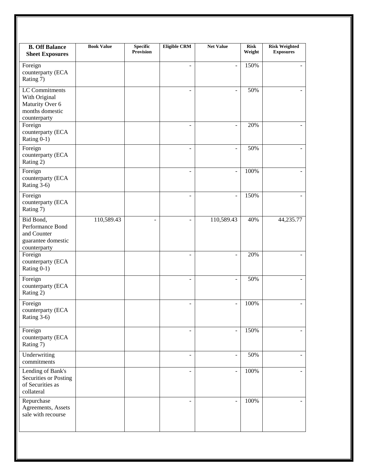| <b>B. Off Balance</b><br><b>Sheet Exposures</b>                                              | <b>Book Value</b> | <b>Specific</b><br>Provision | <b>Eligible CRM</b>          | <b>Net Value</b>         | <b>Risk</b><br>Weight | <b>Risk Weighted</b><br><b>Exposures</b> |
|----------------------------------------------------------------------------------------------|-------------------|------------------------------|------------------------------|--------------------------|-----------------------|------------------------------------------|
| Foreign<br>counterparty (ECA<br>Rating 7)                                                    |                   |                              | ä,                           | $\overline{a}$           | 150%                  | ÷.                                       |
| <b>LC</b> Commitments<br>With Original<br>Maturity Over 6<br>months domestic<br>counterparty |                   |                              |                              |                          | 50%                   |                                          |
| Foreign<br>counterparty (ECA<br>Rating 0-1)                                                  |                   |                              |                              | $\overline{\phantom{m}}$ | 20%                   |                                          |
| Foreign<br>counterparty (ECA<br>Rating 2)                                                    |                   |                              | ۰                            | L,                       | 50%                   |                                          |
| Foreign<br>counterparty (ECA<br>Rating 3-6)                                                  |                   |                              | ÷                            | $\frac{1}{2}$            | 100%                  | $\overline{\phantom{0}}$                 |
| Foreign<br>counterparty (ECA<br>Rating 7)                                                    |                   |                              | ÷                            | $\overline{a}$           | 150%                  |                                          |
| Bid Bond,<br>Performance Bond<br>and Counter<br>guarantee domestic<br>counterparty           | 110,589.43        |                              |                              | 110,589.43               | 40%                   | 44,235.77                                |
| Foreign<br>counterparty (ECA<br>Rating 0-1)                                                  |                   |                              | L.                           | $\overline{a}$           | 20%                   | ÷.                                       |
| Foreign<br>counterparty (ECA<br>Rating 2)                                                    |                   |                              | ÷                            | $\blacksquare$           | 50%                   | $\overline{\phantom{0}}$                 |
| Foreign<br>counterparty (ECA<br>Rating 3-6)                                                  |                   |                              | ۰                            | $\blacksquare$           | 100%                  | $\blacksquare$                           |
| Foreign<br>counterparty (ECA<br>Rating 7)                                                    |                   |                              | $\blacksquare$               | $\frac{1}{2}$            | 150%                  | ٠                                        |
| Underwriting<br>commitments                                                                  |                   |                              | $\qquad \qquad \blacksquare$ | $\blacksquare$           | 50%                   | $\overline{\phantom{0}}$                 |
| Lending of Bank's<br>Securities or Posting<br>of Securities as<br>collateral                 |                   |                              | L,                           | ÷,                       | 100%                  | ÷.                                       |
| Repurchase<br>Agreements, Assets<br>sale with recourse                                       |                   |                              | ÷,                           | $\overline{a}$           | 100%                  | $\overline{\phantom{0}}$                 |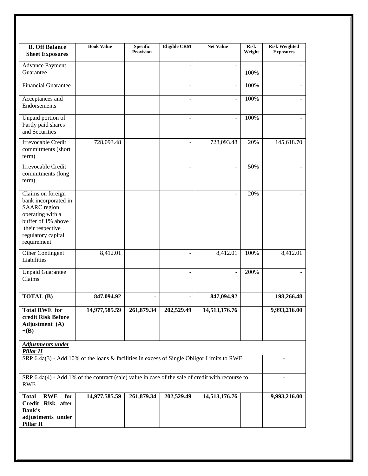| <b>B. Off Balance</b><br><b>Sheet Exposures</b>                                                                                                                     | <b>Book Value</b> | <b>Specific</b><br><b>Provision</b> | <b>Eligible CRM</b>      | <b>Net Value</b>         | <b>Risk</b><br>Weight | <b>Risk Weighted</b><br><b>Exposures</b> |
|---------------------------------------------------------------------------------------------------------------------------------------------------------------------|-------------------|-------------------------------------|--------------------------|--------------------------|-----------------------|------------------------------------------|
| <b>Advance Payment</b><br>Guarantee                                                                                                                                 |                   |                                     | $\overline{\phantom{m}}$ | $\overline{\phantom{a}}$ | 100%                  |                                          |
| Financial Guarantee                                                                                                                                                 |                   |                                     | $\overline{a}$           | $\overline{a}$           | 100%                  |                                          |
| Acceptances and<br>Endorsements                                                                                                                                     |                   |                                     | $\overline{a}$           | $\overline{\phantom{a}}$ | 100%                  |                                          |
| Unpaid portion of<br>Partly paid shares<br>and Securities                                                                                                           |                   |                                     |                          | $\frac{1}{2}$            | 100%                  |                                          |
| Irrevocable Credit<br>commitments (short<br>term)                                                                                                                   | 728,093.48        |                                     | $\overline{a}$           | 728,093.48               | 20%                   | 145,618.70                               |
| Irrevocable Credit<br>commitments (long<br>term)                                                                                                                    |                   |                                     | $\overline{a}$           | $\overline{a}$           | 50%                   |                                          |
| Claims on foreign<br>bank incorporated in<br><b>SAARC</b> region<br>operating with a<br>buffer of 1% above<br>their respective<br>regulatory capital<br>requirement |                   |                                     |                          | ÷,                       | 20%                   |                                          |
| Other Contingent<br>Liabilities                                                                                                                                     | 8,412.01          |                                     |                          | 8,412.01                 | 100%                  | 8,412.01                                 |
| <b>Unpaid Guarantee</b><br>Claims                                                                                                                                   |                   |                                     | ÷                        | $\overline{\phantom{a}}$ | 200%                  |                                          |
| <b>TOTAL</b> (B)                                                                                                                                                    | 847,094.92        |                                     | $\overline{\phantom{a}}$ | 847,094.92               |                       | 198,266.48                               |
| <b>Total RWE for</b><br>credit Risk Before<br>Adjustment (A)<br>$+(B)$                                                                                              | 14,977,585.59     | 261,879.34                          | 202,529.49               | 14,513,176.76            |                       | 9,993,216.00                             |
| <b>Adjustments under</b><br>Pillar II                                                                                                                               |                   |                                     |                          |                          |                       |                                          |
| SRP 6.4a(3) - Add 10% of the loans & facilities in excess of Single Obligor Limits to RWE                                                                           |                   |                                     |                          |                          |                       |                                          |
| SRP 6.4a(4) - Add 1% of the contract (sale) value in case of the sale of credit with recourse to<br><b>RWE</b>                                                      |                   |                                     |                          |                          |                       |                                          |
| for<br><b>RWE</b><br><b>Total</b><br>Credit Risk after<br><b>Bank's</b><br>adjustments under<br>Pillar II                                                           | 14,977,585.59     | 261,879.34                          | 202,529.49               | 14,513,176.76            |                       | 9,993,216.00                             |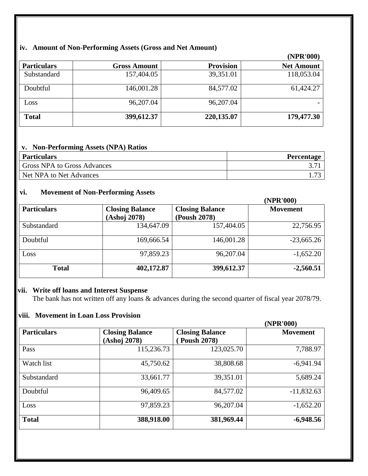# **iv. Amount of Non-Performing Assets (Gross and Net Amount)**

|                    |                     |                  | (NPR'000)         |
|--------------------|---------------------|------------------|-------------------|
| <b>Particulars</b> | <b>Gross Amount</b> | <b>Provision</b> | <b>Net Amount</b> |
| Substandard        | 157,404.05          | 39,351.01        | 118,053.04        |
| Doubtful           | 146,001.28          | 84,577.02        | 61,424.27         |
| Loss               | 96,207.04           | 96,207.04        |                   |
| <b>Total</b>       | 399,612.37          | 220,135.07       | 179,477.30        |

# **v. Non-Performing Assets (NPA) Ratios**

| <b>Particulars</b>                 | <b>Percentage</b> |
|------------------------------------|-------------------|
| <b>Gross NPA to Gross Advances</b> |                   |
| Net NPA to Net Advances            |                   |

## **vi. Movement of Non-Performing Assets**

|                    |                        |                        | (NPR'000)       |
|--------------------|------------------------|------------------------|-----------------|
| <b>Particulars</b> | <b>Closing Balance</b> | <b>Closing Balance</b> | <b>Movement</b> |
|                    | (Ashoj 2078)           | (Poush 2078)           |                 |
| Substandard        | 134,647.09             | 157,404.05             | 22,756.95       |
| Doubtful           | 169,666.54             | 146,001.28             | $-23,665.26$    |
| Loss               | 97,859.23              | 96,207.04              | $-1,652.20$     |
| <b>Total</b>       | 402,172.87             | 399,612.37             | $-2,560.51$     |

## **vii. Write off loans and Interest Suspense**

The bank has not written off any loans & advances during the second quarter of fiscal year 2078/79.

# **viii. Movement in Loan Loss Provision**

|                    |                                        |                                              | (NPR'000)       |
|--------------------|----------------------------------------|----------------------------------------------|-----------------|
| <b>Particulars</b> | <b>Closing Balance</b><br>(Ashoj 2078) | <b>Closing Balance</b><br><b>Poush 2078)</b> | <b>Movement</b> |
| Pass               | 115,236.73                             | 123,025.70                                   | 7,788.97        |
| Watch list         | 45,750.62                              | 38,808.68                                    | $-6,941.94$     |
| Substandard        | 33,661.77                              | 39,351.01                                    | 5,689.24        |
| Doubtful           | 96,409.65                              | 84,577.02                                    | $-11,832.63$    |
| Loss               | 97,859.23                              | 96,207.04                                    | $-1,652.20$     |
| <b>Total</b>       | 388,918.00                             | 381,969.44                                   | $-6,948.56$     |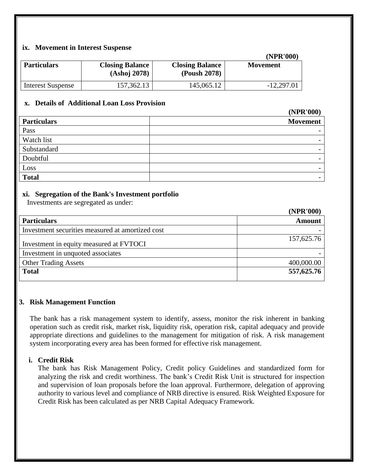## **ix. Movement in Interest Suspense**

|                          |                                        |                                        | (15.000)        |
|--------------------------|----------------------------------------|----------------------------------------|-----------------|
| <b>Particulars</b>       | <b>Closing Balance</b><br>(Ashoj 2078) | <b>Closing Balance</b><br>(Poush 2078) | <b>Movement</b> |
| <b>Interest Suspense</b> | 157,362.13                             | 145,065.12                             | $-12,297.01$    |

**(NPR'000)**

 $(1000)$ 

**(NPR'000)**

## **x. Details of Additional Loan Loss Provision**

|                    | (NPK'000)                |
|--------------------|--------------------------|
| <b>Particulars</b> | <b>Movement</b>          |
| Pass               | $\overline{\phantom{0}}$ |
| Watch list         | $\overline{\phantom{a}}$ |
| Substandard        | $\overline{\phantom{a}}$ |
| Doubtful           | $\overline{\phantom{a}}$ |
| Loss               | $\overline{\phantom{0}}$ |
| <b>Total</b>       | $\overline{\phantom{a}}$ |
|                    |                          |

## **xi. Segregation of the Bank's Investment portfolio**

Investments are segregated as under:

|                                                  | <b>UVLA VVVI</b> |
|--------------------------------------------------|------------------|
| <b>Particulars</b>                               | <b>Amount</b>    |
| Investment securities measured at amortized cost |                  |
| Investment in equity measured at FVTOCI          | 157,625.76       |
| Investment in unquoted associates                |                  |
| <b>Other Trading Assets</b>                      | 400,000.00       |
| <b>Total</b>                                     | 557,625.76       |

#### **3. Risk Management Function**

The bank has a risk management system to identify, assess, monitor the risk inherent in banking operation such as credit risk, market risk, liquidity risk, operation risk, capital adequacy and provide appropriate directions and guidelines to the management for mitigation of risk. A risk management system incorporating every area has been formed for effective risk management.

#### **i. Credit Risk**

The bank has Risk Management Policy, Credit policy Guidelines and standardized form for analyzing the risk and credit worthiness. The bank's Credit Risk Unit is structured for inspection and supervision of loan proposals before the loan approval. Furthermore, delegation of approving authority to various level and compliance of NRB directive is ensured. Risk Weighted Exposure for Credit Risk has been calculated as per NRB Capital Adequacy Framework.